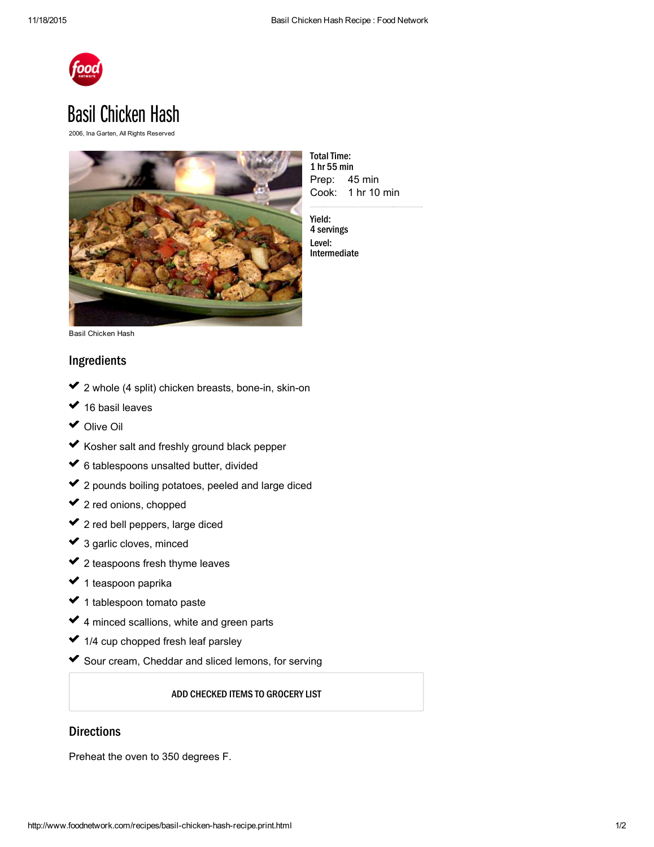

## **Basil Chicken Hash**

2006, Ina Garten, All Rights Reserved



Prep: 45 min Cook: 1 hr 10 min **Total Time:** 1 hr 55 min

Yield: 4 servings Level: Intermediate

Basil Chicken Hash

## Ingredients

- 2 whole (4 split) chicken breasts, bone-in, skin-on usik<br>Sala ✔ 2  $\mathcal{L}^{\mathcal{L}}$
- 16 basil leaves ✔ 1 usika<br>∪a
- [Olive](http://www.foodterms.com/encyclopedia/olive-oil/index.html) Oil ✓ ✓
- Kosher salt and freshly ground black pepper ✓  $\mathcal{L}^{\mathcal{L}}$
- 6 tablespoons [unsalted](http://www.foodterms.com/encyclopedia/butter/index.html) butter, divided ✓ ✓
- 2 pounds boiling potatoes, peeled and large diced ✔ 2 ✓
- $\blacktriangleright$  2 red [onions,](http://www.foodterms.com/encyclopedia/onion/index.html) chopped  $\mathcal{L}^{\mathcal{L}}$
- 2 red bell [peppers,](http://www.foodterms.com/encyclopedia/red-bell-pepper/index.html) large diced ✔ 2 usika<br>∪a
- 3 garlic [cloves,](http://www.foodterms.com/encyclopedia/garlic/index.html) minced ✔ ३ ✓
- 2 teaspoons fresh thyme leaves ✔ 2  $\mathcal{L}^{\mathcal{L}}$
- 1 teaspoon [paprika](http://www.foodterms.com/encyclopedia/paprika/index.html) ✔ 1 usika<br>∪a
- 1 tablespoon tomato paste ✓ ✓
- 4 minced scallions, white and green parts ✓  $\mathcal{L}^{\mathcal{L}}$
- 1/4 cup chopped fresh leaf parsley ✔ 1 usika<br>∪a
- Sour [cream](http://www.foodterms.com/encyclopedia/sour-cream/index.html), [Cheddar](http://www.foodterms.com/encyclopedia/cheddar/index.html) and sliced lemons, for serving ✓

## ADD CHECKED ITEMS TO GROCERY LIST

## **Directions**

Preheat the oven to 350 degrees F.